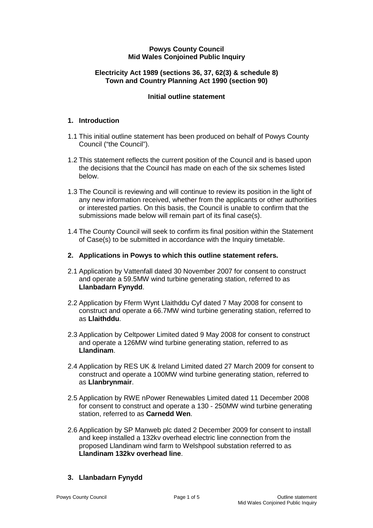### **Powys County Council Mid Wales Conjoined Public Inquiry**

## **Electricity Act 1989 (sections 36, 37, 62(3) & schedule 8) Town and Country Planning Act 1990 (section 90)**

## **Initial outline statement**

### **1. Introduction**

- 1.1 This initial outline statement has been produced on behalf of Powys County Council ("the Council").
- 1.2 This statement reflects the current position of the Council and is based upon the decisions that the Council has made on each of the six schemes listed below.
- 1.3 The Council is reviewing and will continue to review its position in the light of any new information received, whether from the applicants or other authorities or interested parties. On this basis, the Council is unable to confirm that the submissions made below will remain part of its final case(s).
- 1.4 The County Council will seek to confirm its final position within the Statement of Case(s) to be submitted in accordance with the Inquiry timetable.
- **2. Applications in Powys to which this outline statement refers.**
- 2.1 Application by Vattenfall dated 30 November 2007 for consent to construct and operate a 59.5MW wind turbine generating station, referred to as **Llanbadarn Fynydd**.
- 2.2 Application by Fferm Wynt Llaithddu Cyf dated 7 May 2008 for consent to construct and operate a 66.7MW wind turbine generating station, referred to as **Llaithddu**.
- 2.3 Application by Celtpower Limited dated 9 May 2008 for consent to construct and operate a 126MW wind turbine generating station, referred to as **Llandinam**.
- 2.4 Application by RES UK & Ireland Limited dated 27 March 2009 for consent to construct and operate a 100MW wind turbine generating station, referred to as **Llanbrynmair**.
- 2.5 Application by RWE nPower Renewables Limited dated 11 December 2008 for consent to construct and operate a 130 - 250MW wind turbine generating station, referred to as **Carnedd Wen**.
- 2.6 Application by SP Manweb plc dated 2 December 2009 for consent to install and keep installed a 132kv overhead electric line connection from the proposed Llandinam wind farm to Welshpool substation referred to as **Llandinam 132kv overhead line**.

## **3. Llanbadarn Fynydd**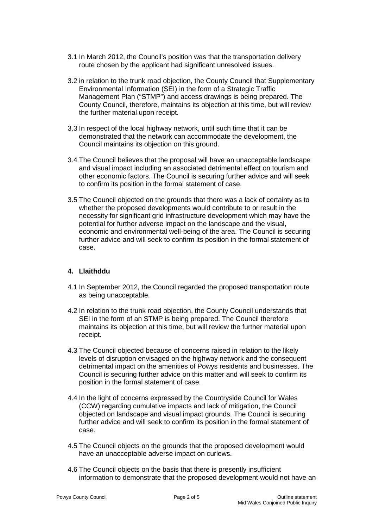- 3.1 In March 2012, the Council's position was that the transportation delivery route chosen by the applicant had significant unresolved issues.
- 3.2 in relation to the trunk road objection, the County Council that Supplementary Environmental Information (SEI) in the form of a Strategic Traffic Management Plan ("STMP") and access drawings is being prepared. The County Council, therefore, maintains its objection at this time, but will review the further material upon receipt.
- 3.3 In respect of the local highway network, until such time that it can be demonstrated that the network can accommodate the development, the Council maintains its objection on this ground.
- 3.4 The Council believes that the proposal will have an unacceptable landscape and visual impact including an associated detrimental effect on tourism and other economic factors. The Council is securing further advice and will seek to confirm its position in the formal statement of case.
- 3.5 The Council objected on the grounds that there was a lack of certainty as to whether the proposed developments would contribute to or result in the necessity for significant grid infrastructure development which may have the potential for further adverse impact on the landscape and the visual, economic and environmental well-being of the area. The Council is securing further advice and will seek to confirm its position in the formal statement of case.

## **4. Llaithddu**

- 4.1 In September 2012, the Council regarded the proposed transportation route as being unacceptable.
- 4.2 In relation to the trunk road objection, the County Council understands that SEI in the form of an STMP is being prepared. The Council therefore maintains its objection at this time, but will review the further material upon receipt.
- 4.3 The Council objected because of concerns raised in relation to the likely levels of disruption envisaged on the highway network and the consequent detrimental impact on the amenities of Powys residents and businesses. The Council is securing further advice on this matter and will seek to confirm its position in the formal statement of case.
- 4.4 In the light of concerns expressed by the Countryside Council for Wales (CCW) regarding cumulative impacts and lack of mitigation, the Council objected on landscape and visual impact grounds. The Council is securing further advice and will seek to confirm its position in the formal statement of case.
- 4.5 The Council objects on the grounds that the proposed development would have an unacceptable adverse impact on curlews.
- 4.6 The Council objects on the basis that there is presently insufficient information to demonstrate that the proposed development would not have an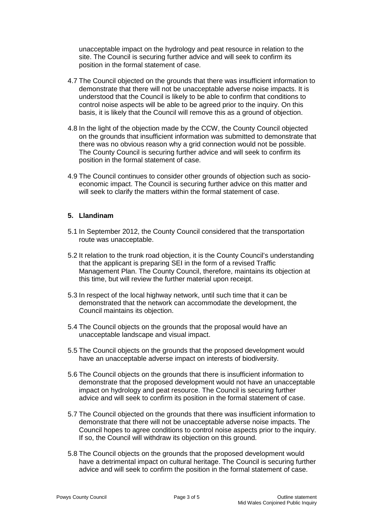unacceptable impact on the hydrology and peat resource in relation to the site. The Council is securing further advice and will seek to confirm its position in the formal statement of case.

- 4.7 The Council objected on the grounds that there was insufficient information to demonstrate that there will not be unacceptable adverse noise impacts. It is understood that the Council is likely to be able to confirm that conditions to control noise aspects will be able to be agreed prior to the inquiry. On this basis, it is likely that the Council will remove this as a ground of objection.
- 4.8 In the light of the objection made by the CCW, the County Council objected on the grounds that insufficient information was submitted to demonstrate that there was no obvious reason why a grid connection would not be possible. The County Council is securing further advice and will seek to confirm its position in the formal statement of case.
- 4.9 The Council continues to consider other grounds of objection such as socioeconomic impact. The Council is securing further advice on this matter and will seek to clarify the matters within the formal statement of case.

#### **5. Llandinam**

- 5.1 In September 2012, the County Council considered that the transportation route was unacceptable.
- 5.2 It relation to the trunk road objection, it is the County Council's understanding that the applicant is preparing SEI in the form of a revised Traffic Management Plan. The County Council, therefore, maintains its objection at this time, but will review the further material upon receipt.
- 5.3 In respect of the local highway network, until such time that it can be demonstrated that the network can accommodate the development, the Council maintains its objection.
- 5.4 The Council objects on the grounds that the proposal would have an unacceptable landscape and visual impact.
- 5.5 The Council objects on the grounds that the proposed development would have an unacceptable adverse impact on interests of biodiversity.
- 5.6 The Council objects on the grounds that there is insufficient information to demonstrate that the proposed development would not have an unacceptable impact on hydrology and peat resource. The Council is securing further advice and will seek to confirm its position in the formal statement of case.
- 5.7 The Council objected on the grounds that there was insufficient information to demonstrate that there will not be unacceptable adverse noise impacts. The Council hopes to agree conditions to control noise aspects prior to the inquiry. If so, the Council will withdraw its objection on this ground.
- 5.8 The Council objects on the grounds that the proposed development would have a detrimental impact on cultural heritage. The Council is securing further advice and will seek to confirm the position in the formal statement of case.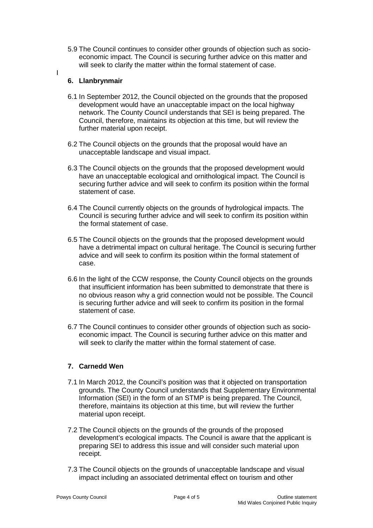5.9 The Council continues to consider other grounds of objection such as socioeconomic impact. The Council is securing further advice on this matter and will seek to clarify the matter within the formal statement of case.

## **6. Llanbrynmair**

I

- 6.1 In September 2012, the Council objected on the grounds that the proposed development would have an unacceptable impact on the local highway network. The County Council understands that SEI is being prepared. The Council, therefore, maintains its objection at this time, but will review the further material upon receipt.
- 6.2 The Council objects on the grounds that the proposal would have an unacceptable landscape and visual impact.
- 6.3 The Council objects on the grounds that the proposed development would have an unacceptable ecological and ornithological impact. The Council is securing further advice and will seek to confirm its position within the formal statement of case.
- 6.4 The Council currently objects on the grounds of hydrological impacts. The Council is securing further advice and will seek to confirm its position within the formal statement of case.
- 6.5 The Council objects on the grounds that the proposed development would have a detrimental impact on cultural heritage. The Council is securing further advice and will seek to confirm its position within the formal statement of case.
- 6.6 In the light of the CCW response, the County Council objects on the grounds that insufficient information has been submitted to demonstrate that there is no obvious reason why a grid connection would not be possible. The Council is securing further advice and will seek to confirm its position in the formal statement of case.
- 6.7 The Council continues to consider other grounds of objection such as socioeconomic impact. The Council is securing further advice on this matter and will seek to clarify the matter within the formal statement of case.

# **7. Carnedd Wen**

- 7.1 In March 2012, the Council's position was that it objected on transportation grounds. The County Council understands that Supplementary Environmental Information (SEI) in the form of an STMP is being prepared. The Council, therefore, maintains its objection at this time, but will review the further material upon receipt.
- 7.2 The Council objects on the grounds of the grounds of the proposed development's ecological impacts. The Council is aware that the applicant is preparing SEI to address this issue and will consider such material upon receipt.
- 7.3 The Council objects on the grounds of unacceptable landscape and visual impact including an associated detrimental effect on tourism and other